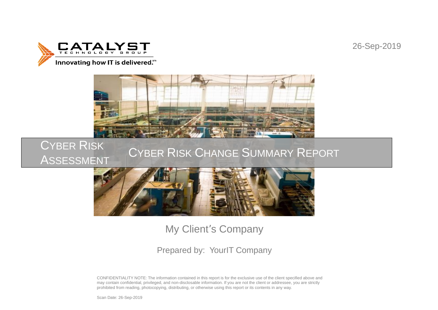26-Sep-2019





### CYBER RISK ASSESSMENT CYBER RISK CHANGE SUMMARY REPORT



# My Client's Company

## Prepared by: YourIT Company

CONFIDENTIALITY NOTE: The information contained in this report is for the exclusive use of the client specified above and may contain confidential, privileged, and non-disclosable information. If you are not the client or addressee, you are strictly prohibited from reading, photocopying, distributing, or otherwise using this report or its contents in any way.

Scan Date: 26-Sep-2019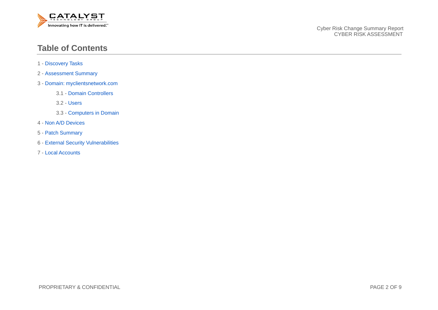

### **Table of Contents**

- 1 Discovery Tasks
- 2 Assessment Summary
- 3 Domain: myclientsnetwork.com
	- 3.1 Domain Controllers
	- 3.2 Users
	- 3.3 Computers in Domain
- 4 Non A/D Devices
- 5 Patch Summary
- 6 External Security Vulnerabilities
- 7 Local Accounts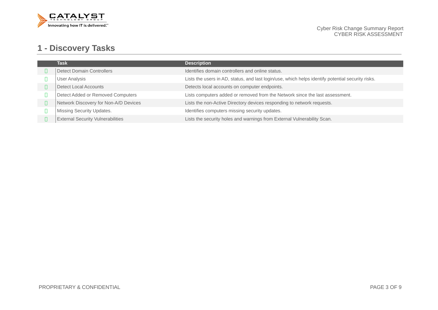

## **1 - Discovery Tasks**

| <b>Task</b>                              | <b>Description</b>                                                                                |
|------------------------------------------|---------------------------------------------------------------------------------------------------|
| <b>Detect Domain Controllers</b>         | Identifies domain controllers and online status.                                                  |
| <b>User Analysis</b>                     | Lists the users in AD, status, and last login/use, which helps identify potential security risks. |
| <b>Detect Local Accounts</b>             | Detects local accounts on computer endpoints.                                                     |
| Detect Added or Removed Computers        | Lists computers added or removed from the Network since the last assessment.                      |
| Network Discovery for Non-A/D Devices    | Lists the non-Active Directory devices responding to network requests.                            |
| <b>Missing Security Updates.</b>         | Identifies computers missing security updates.                                                    |
| <b>External Security Vulnerabilities</b> | Lists the security holes and warnings from External Vulnerability Scan.                           |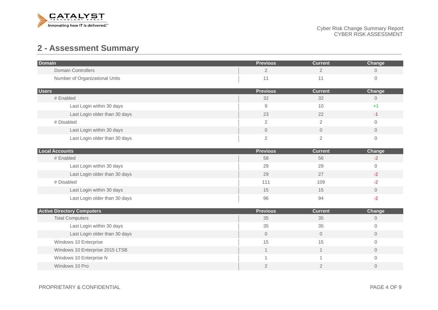

## **2 - Assessment Summary**

| <b>Domain</b>                                               | <b>Previous</b>       | <b>Current</b>       | Change                        |
|-------------------------------------------------------------|-----------------------|----------------------|-------------------------------|
| <b>Domain Controllers</b>                                   | $\overline{2}$        | $\overline{2}$       | $\mathbf 0$                   |
| Number of Organizational Units                              | 11                    | 11                   | $\circ$                       |
|                                                             |                       |                      |                               |
| <b>Users</b><br># Enabled                                   | <b>Previous</b><br>32 | <b>Current</b><br>32 | Change<br>$\mathsf{O}\xspace$ |
| Last Login within 30 days                                   | 9                     | 10                   | $+1$                          |
|                                                             |                       |                      |                               |
| Last Login older than 30 days                               | 23                    | 22                   | $-1$                          |
| # Disabled                                                  | $\overline{2}$        | $\overline{2}$       | $\mathbf 0$                   |
| Last Login within 30 days                                   | $\overline{0}$        | $\overline{0}$       | $\mathbf{0}$                  |
| Last Login older than 30 days                               | $\overline{c}$        | $\overline{2}$       | $\Omega$                      |
| <b>Local Accounts</b>                                       | <b>Previous</b>       | <b>Current</b>       | Change                        |
| # Enabled                                                   | 58                    | 56                   | $-2$                          |
| Last Login within 30 days                                   | 29                    | 29                   | $\mathbf 0$                   |
| Last Login older than 30 days                               | 29                    | 27                   | $-2$                          |
| # Disabled                                                  | 111                   | 109                  | $-2$                          |
| Last Login within 30 days                                   | 15                    | 15                   | $\mathbf{0}$                  |
| Last Login older than 30 days                               | 96                    | 94                   | $-2$                          |
|                                                             |                       |                      |                               |
| <b>Active Directory Computers</b><br><b>Total Computers</b> | <b>Previous</b><br>35 | <b>Current</b><br>35 | Change<br>$\overline{0}$      |
| Last Login within 30 days                                   | 35                    | 35                   | $\mathbf{0}$                  |
|                                                             |                       |                      |                               |
| Last Login older than 30 days                               | $\overline{0}$        | $\circ$              | $\overline{0}$                |
| Windows 10 Enterprise                                       | 15                    | 15                   | $\mathbf 0$                   |
| Windows 10 Enterprise 2015 LTSB                             | $\mathbf 1$           | $\mathbf 1$          | $\overline{0}$                |
| Windows 10 Enterprise N                                     | $\mathbf 1$           | 1                    | $\Omega$                      |
| Windows 10 Pro                                              | $\overline{2}$        | $\mathbf{2}$         | $\mathbf{0}$                  |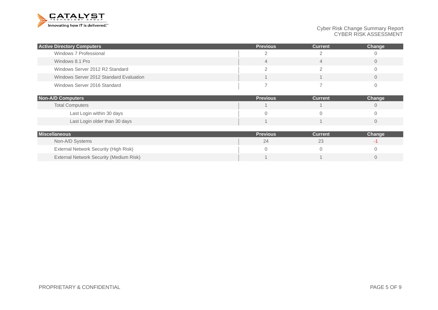

Cyber Risk Change Summary Report CYBER RISK ASSESSMENT

| <b>Active Directory Computers</b>       | <b>Previous</b> | <b>Current</b> | Change |
|-----------------------------------------|-----------------|----------------|--------|
| Windows 7 Professional                  |                 |                |        |
| Windows 8.1 Pro                         |                 |                |        |
| Windows Server 2012 R2 Standard         |                 |                |        |
| Windows Server 2012 Standard Evaluation |                 |                |        |
| Windows Server 2016 Standard            |                 |                |        |

| <b>Non-A/D Computers</b>      | <b>Previous</b> | <b>Current</b> | Change |
|-------------------------------|-----------------|----------------|--------|
| <b>Total Computers</b>        |                 |                |        |
| Last Login within 30 days     |                 |                |        |
| Last Login older than 30 days |                 |                |        |

| <b>Miscellaneous</b>                    | <b>Previous</b> | Current | Change |
|-----------------------------------------|-----------------|---------|--------|
| Non-A/D Systems                         |                 |         |        |
| External Network Security (High Risk)   |                 |         |        |
| External Network Security (Medium Risk) |                 |         |        |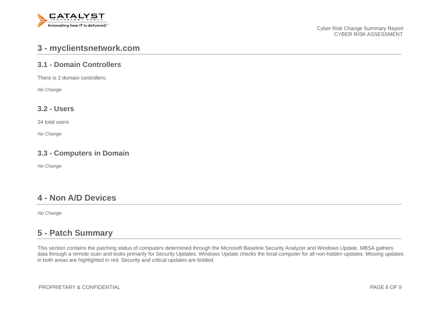

### **3 - myclientsnetwork.com**

#### **3.1 - Domain Controllers**

There is 2 domain controllers:

*No Change*

#### **3.2 - Users**

34 total users

*No Change*

#### **3.3 - Computers in Domain**

*No Change*

### **4 - Non A/D Devices**

*No Change*

### **5 - Patch Summary**

This section contains the patching status of computers determined through the Microsoft Baseline Security Analyzer and Windows Update. MBSA gathers data through a remote scan and looks primarily for Security Updates. Windows Update checks the local computer for all non-hidden updates. Missing updates in both areas are highlighted in red. Security and critical updates are bolded.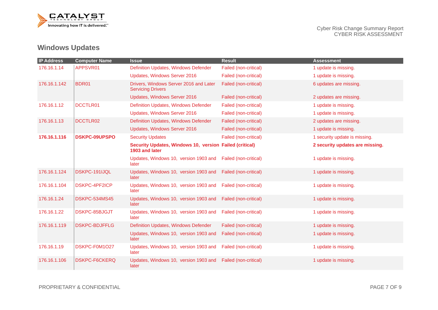

## **Windows Updates**

| <b>IP Address</b> | <b>Computer Name</b> | <b>Issue</b>                                                              | <b>Result</b>         | <b>Assessment</b>               |
|-------------------|----------------------|---------------------------------------------------------------------------|-----------------------|---------------------------------|
| 176.16.1.14       | APPSVR01             | Definition Updates, Windows Defender                                      | Failed (non-critical) | 1 update is missing.            |
|                   |                      | Updates, Windows Server 2016                                              | Failed (non-critical) | 1 update is missing.            |
| 176.16.1.142      | BDR01                | Drivers, Windows Server 2016 and Later<br><b>Servicing Drivers</b>        | Failed (non-critical) | 6 updates are missing.          |
|                   |                      | Updates, Windows Server 2016                                              | Failed (non-critical) | 2 updates are missing.          |
| 176.16.1.12       | <b>DCCTLR01</b>      | Definition Updates, Windows Defender                                      | Failed (non-critical) | 1 update is missing.            |
|                   |                      | Updates, Windows Server 2016                                              | Failed (non-critical) | 1 update is missing.            |
| 176.16.1.13       | DCCTLR02             | Definition Updates, Windows Defender                                      | Failed (non-critical) | 2 updates are missing.          |
|                   |                      | Updates, Windows Server 2016                                              | Failed (non-critical) | 1 update is missing.            |
| 176.16.1.116      | <b>DSKPC-09UPSPO</b> | <b>Security Updates</b>                                                   | Failed (non-critical) | 1 security update is missing.   |
|                   |                      | Security Updates, Windows 10, version Failed (critical)<br>1903 and later |                       | 2 security updates are missing. |
|                   |                      | Updates, Windows 10, version 1903 and<br>later                            | Failed (non-critical) | 1 update is missing.            |
| 176.16.1.124      | DSKPC-191IJQL        | Updates, Windows 10, version 1903 and<br>later                            | Failed (non-critical) | 1 update is missing.            |
| 176.16.1.104      | <b>DSKPC-4PF2ICP</b> | Updates, Windows 10, version 1903 and<br>later                            | Failed (non-critical) | 1 update is missing.            |
| 176.16.1.24       | DSKPC-534MS45        | Updates, Windows 10, version 1903 and<br>later                            | Failed (non-critical) | 1 update is missing.            |
| 176.16.1.22       | DSKPC-85BJGJT        | Updates, Windows 10, version 1903 and<br>later                            | Failed (non-critical) | 1 update is missing.            |
| 176.16.1.119      | <b>DSKPC-BDJFFLG</b> | Definition Updates, Windows Defender                                      | Failed (non-critical) | 1 update is missing.            |
|                   |                      | Updates, Windows 10, version 1903 and<br>later                            | Failed (non-critical) | 1 update is missing.            |
| 176.16.1.19       | DSKPC-F0M1O27        | Updates, Windows 10, version 1903 and<br>later                            | Failed (non-critical) | 1 update is missing.            |
| 176.16.1.106      | <b>DSKPC-F6CKERQ</b> | Updates, Windows 10, version 1903 and<br>later                            | Failed (non-critical) | 1 update is missing.            |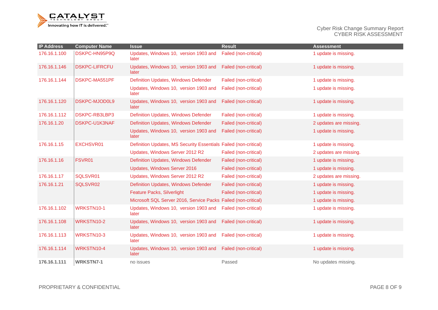

Cyber Risk Change Summary Report CYBER RISK ASSESSMENT

| <b>IP Address</b> | <b>Computer Name</b> | <b>Issue</b>                                                     | <b>Result</b>         | <b>Assessment</b>      |
|-------------------|----------------------|------------------------------------------------------------------|-----------------------|------------------------|
| 176.16.1.100      | DSKPC-HN95P9Q        | Updates, Windows 10, version 1903 and<br>later                   | Failed (non-critical) | 1 update is missing.   |
| 176.16.1.146      | <b>DSKPC-LIFRCFU</b> | Updates, Windows 10, version 1903 and<br>later                   | Failed (non-critical) | 1 update is missing.   |
| 176.16.1.144      | DSKPC-MA551PF        | Definition Updates, Windows Defender                             | Failed (non-critical) | 1 update is missing.   |
|                   |                      | Updates, Windows 10, version 1903 and<br>later                   | Failed (non-critical) | 1 update is missing.   |
| 176.16.1.120      | <b>DSKPC-MJOD0L9</b> | Updates, Windows 10, version 1903 and<br>later                   | Failed (non-critical) | 1 update is missing.   |
| 176.16.1.112      | DSKPC-RB3LBP3        | Definition Updates, Windows Defender                             | Failed (non-critical) | 1 update is missing.   |
| 176.16.1.20       | DSKPC-U1K3NAF        | Definition Updates, Windows Defender                             | Failed (non-critical) | 2 updates are missing. |
|                   |                      | Updates, Windows 10, version 1903 and<br>later                   | Failed (non-critical) | 1 update is missing.   |
| 176.16.1.15       | EXCHSVR01            | Definition Updates, MS Security Essentials Failed (non-critical) |                       | 1 update is missing.   |
|                   |                      | Updates, Windows Server 2012 R2                                  | Failed (non-critical) | 2 updates are missing. |
| 176.16.1.16       | FSVR01               | Definition Updates, Windows Defender                             | Failed (non-critical) | 1 update is missing.   |
|                   |                      | Updates, Windows Server 2016                                     | Failed (non-critical) | 1 update is missing.   |
| 176.16.1.17       | SQLSVR01             | Updates, Windows Server 2012 R2                                  | Failed (non-critical) | 2 updates are missing. |
| 176.16.1.21       | SQLSVR02             | Definition Updates, Windows Defender                             | Failed (non-critical) | 1 update is missing.   |
|                   |                      | Feature Packs, Silverlight                                       | Failed (non-critical) | 1 update is missing.   |
|                   |                      | Microsoft SQL Server 2016, Service Packs Failed (non-critical)   |                       | 1 update is missing.   |
| 176.16.1.102      | WRKSTN10-1           | Updates, Windows 10, version 1903 and<br>later                   | Failed (non-critical) | 1 update is missing.   |
| 176.16.1.108      | WRKSTN10-2           | Updates, Windows 10, version 1903 and<br>later                   | Failed (non-critical) | 1 update is missing.   |
| 176.16.1.113      | <b>WRKSTN10-3</b>    | Updates, Windows 10, version 1903 and<br>later                   | Failed (non-critical) | 1 update is missing.   |
| 176.16.1.114      | WRKSTN10-4           | Updates, Windows 10, version 1903 and<br>later                   | Failed (non-critical) | 1 update is missing.   |
| 176.16.1.111      | <b>WRKSTN7-1</b>     | no issues                                                        | Passed                | No updates missing.    |